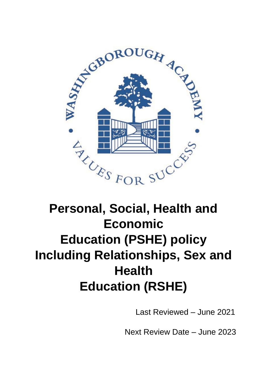

# **Personal, Social, Health and Economic Education (PSHE) policy Including Relationships, Sex and Health Education (RSHE)**

Last Reviewed – June 2021

Next Review Date – June 2023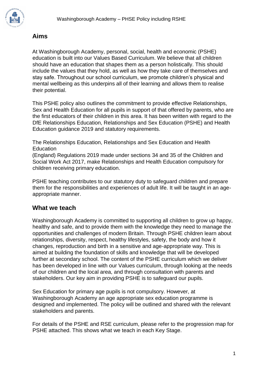

#### **Aims**

At Washingborough Academy, personal, social, health and economic (PSHE) education is built into our Values Based Curriculum. We believe that all children should have an education that shapes them as a person holistically. This should include the values that they hold, as well as how they take care of themselves and stay safe. Throughout our school curriculum, we promote children's physical and mental wellbeing as this underpins all of their learning and allows them to realise their potential.

This PSHE policy also outlines the commitment to provide effective Relationships, Sex and Health Education for all pupils in support of that offered by parents, who are the first educators of their children in this area. It has been written with regard to the DfE Relationships Education, Relationships and Sex Education (PSHE) and Health Education guidance 2019 and statutory requirements.

The Relationships Education, Relationships and Sex Education and Health **Education** 

(England) Regulations 2019 made under sections 34 and 35 of the Children and Social Work Act 2017, make Relationships and Health Education compulsory for children receiving primary education.

PSHE teaching contributes to our statutory duty to safeguard children and prepare them for the responsibilities and experiences of adult life. It will be taught in an ageappropriate manner.

#### **What we teach**

Washingborough Academy is committed to supporting all children to grow up happy, healthy and safe, and to provide them with the knowledge they need to manage the opportunities and challenges of modern Britain. Through PSHE children learn about relationships, diversity, respect, healthy lifestyles, safety, the body and how it changes, reproduction and birth in a sensitive and age-appropriate way. This is aimed at building the foundation of skills and knowledge that will be developed further at secondary school. The content of the PSHE curriculum which we deliver has been developed in line with our Values curriculum, through looking at the needs of our children and the local area, and through consultation with parents and stakeholders. Our key aim in providing PSHE is to safeguard our pupils.

Sex Education for primary age pupils is not compulsory. However, at Washingborough Academy an age appropriate sex education programme is designed and implemented. The policy will be outlined and shared with the relevant stakeholders and parents.

For details of the PSHE and RSE curriculum, please refer to the progression map for PSHE attached. This shows what we teach in each Key Stage.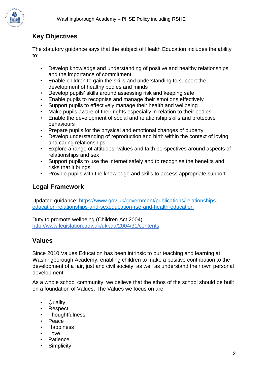

# **Key Objectives**

The statutory guidance says that the subject of Health Education includes the ability to:

- Develop knowledge and understanding of positive and healthy relationships and the importance of commitment
- Enable children to gain the skills and understanding to support the development of healthy bodies and minds
- Develop pupils' skills around assessing risk and keeping safe
- Enable pupils to recognise and manage their emotions effectively
- Support pupils to effectively manage their health and wellbeing
- Make pupils aware of their rights especially in relation to their bodies
- Enable the development of social and relationship skills and protective behaviours
- Prepare pupils for the physical and emotional changes of puberty
- Develop understanding of reproduction and birth within the context of loving and caring relationships
- Explore a range of attitudes, values and faith perspectives around aspects of relationships and sex
- Support pupils to use the internet safely and to recognise the benefits and risks that it brings
- Provide pupils with the knowledge and skills to access appropriate support

# **Legal Framework**

Updated guidance: [https://www.gov.uk/government/publications/relationships](https://www.gov.uk/government/publications/relationships-education-relationships-and-sex-education-rse-and-health-education)[education-relationships-and-sexeducation-rse-and-health-education](https://www.gov.uk/government/publications/relationships-education-relationships-and-sex-education-rse-and-health-education)

Duty to promote wellbeing (Children Act 2004) <http://www.legislation.gov.uk/ukpga/2004/31/contents>

# **Values**

Since 2010 Values Education has been intrinsic to our teaching and learning at Washingborough Academy, enabling children to make a positive contribution to the development of a fair, just and civil society, as well as understand their own personal development.

As a whole school community, we believe that the ethos of the school should be built on a foundation of Values. The Values we focus on are:

- Quality
- Respect
- **Thoughtfulness**
- Peace
- Happiness
- Love
- **Patience**
- Simplicity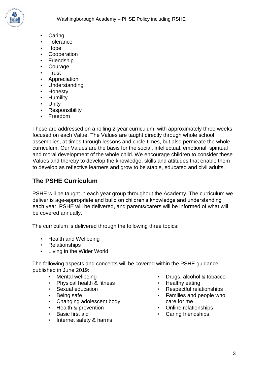

- **Caring**
- **Tolerance**
- Hope
- **Cooperation**
- **Friendship**
- **Courage**
- Trust
- Appreciation
- **Understanding**
- Honesty
- Humility
- Unity
- **Responsibility**
- Freedom

These are addressed on a rolling 2-year curriculum, with approximately three weeks focused on each Value. The Values are taught directly through whole school assemblies, at times through lessons and circle times, but also permeate the whole curriculum. Our Values are the basis for the social, intellectual, emotional, spiritual and moral development of the whole child. We encourage children to consider these Values and thereby to develop the knowledge, skills and attitudes that enable them to develop as reflective learners and grow to be stable, educated and civil adults.

### **The PSHE Curriculum**

PSHE will be taught in each year group throughout the Academy. The curriculum we deliver is age-appropriate and build on children's knowledge and understanding each year. PSHE will be delivered, and parents/carers will be informed of what will be covered annually.

The curriculum is delivered through the following three topics:

- Health and Wellbeing
- Relationships
- Living in the Wider World

The following aspects and concepts will be covered within the PSHE guidance published in June 2019:

- Mental wellbeing
- Physical health & fitness
- Sexual education
- Being safe
- Changing adolescent body
- Health & prevention
- Basic first aid
- Internet safety & harms
- Drugs, alcohol & tobacco
- Healthy eating
- Respectful relationships
- Families and people who care for me
- Online relationships
- Caring friendships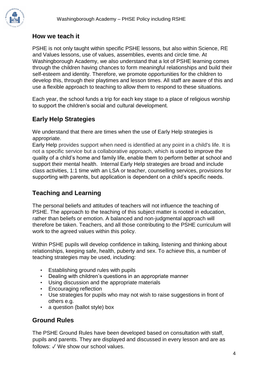#### **How we teach it**

PSHE is not only taught within specific PSHE lessons, but also within Science, RE and Values lessons, use of values, assemblies, events and circle time. At Washingborough Academy, we also understand that a lot of PSHE learning comes through the children having chances to form meaningful relationships and build their self-esteem and identity. Therefore, we promote opportunities for the children to develop this, through their playtimes and lesson times. All staff are aware of this and use a flexible approach to teaching to allow them to respond to these situations.

Each year, the school funds a trip for each key stage to a place of religious worship to support the children's social and cultural development.

# **Early Help Strategies**

We understand that there are times when the use of Early Help strategies is appropriate.

Early Help provides support when need is identified at any point in a child's life. It is not a specific service but a collaborative approach, which is used to improve the quality of a child's home and family life, enable them to perform better at school and support their mental health. Internal Early Help strategies are broad and include class activities, 1:1 time with an LSA or teacher, counselling services, provisions for supporting with parents, but application is dependent on a child's specific needs.

# **Teaching and Learning**

The personal beliefs and attitudes of teachers will not influence the teaching of PSHE. The approach to the teaching of this subject matter is rooted in education, rather than beliefs or emotion. A balanced and non-judgmental approach will therefore be taken. Teachers, and all those contributing to the PSHE curriculum will work to the agreed values within this policy.

Within PSHE pupils will develop confidence in talking, listening and thinking about relationships, keeping safe, health, puberty and sex. To achieve this, a number of teaching strategies may be used, including:

- Establishing ground rules with pupils
- Dealing with children's questions in an appropriate manner
- Using discussion and the appropriate materials
- Encouraging reflection
- Use strategies for pupils who may not wish to raise suggestions in front of others e.g.
- a question (ballot style) box

#### **Ground Rules**

The PSHE Ground Rules have been developed based on consultation with staff, pupils and parents. They are displayed and discussed in every lesson and are as follows: ✓ We show our school values.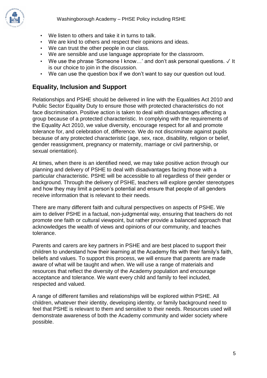

- We listen to others and take it in turns to talk.
- We are kind to others and respect their opinions and ideas.
- We can trust the other people in our class.
- We are sensible and use language appropriate for the classroom.
- We use the phrase 'Someone I know...' and don't ask personal questions. √ It is our choice to join in the discussion.
- We can use the question box if we don't want to say our question out loud.

#### **Equality, Inclusion and Support**

Relationships and PSHE should be delivered in line with the Equalities Act 2010 and Public Sector Equality Duty to ensure those with protected characteristics do not face discrimination. Positive action is taken to deal with disadvantages affecting a group because of a protected characteristic. In complying with the requirements of the Equality Act 2010, we value diversity, encourage respect for all and promote tolerance for, and celebration of, difference. We do not discriminate against pupils because of any protected characteristic (age, sex, race, disability, religion or belief, gender reassignment, pregnancy or maternity, marriage or civil partnership, or sexual orientation).

At times, when there is an identified need, we may take positive action through our planning and delivery of PSHE to deal with disadvantages facing those with a particular characteristic. PSHE will be accessible to all regardless of their gender or background. Through the delivery of PSHE, teachers will explore gender stereotypes and how they may limit a person's potential and ensure that people of all genders receive information that is relevant to their needs.

There are many different faith and cultural perspectives on aspects of PSHE. We aim to deliver PSHE in a factual, non-judgmental way, ensuring that teachers do not promote one faith or cultural viewpoint, but rather provide a balanced approach that acknowledges the wealth of views and opinions of our community, and teaches tolerance.

Parents and carers are key partners in PSHE and are best placed to support their children to understand how their learning at the Academy fits with their family's faith, beliefs and values. To support this process, we will ensure that parents are made aware of what will be taught and when. We will use a range of materials and resources that reflect the diversity of the Academy population and encourage acceptance and tolerance. We want every child and family to feel included, respected and valued.

A range of different families and relationships will be explored within PSHE. All children, whatever their identity, developing identity, or family background need to feel that PSHE is relevant to them and sensitive to their needs. Resources used will demonstrate awareness of both the Academy community and wider society where possible.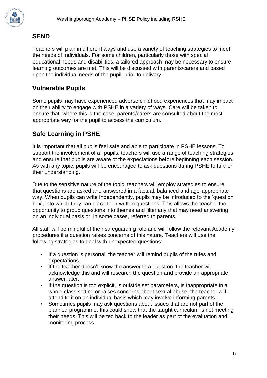

#### **SEND**

Teachers will plan in different ways and use a variety of teaching strategies to meet the needs of individuals. For some children, particularly those with special educational needs and disabilities, a tailored approach may be necessary to ensure learning outcomes are met. This will be discussed with parents/carers and based upon the individual needs of the pupil, prior to delivery.

#### **Vulnerable Pupils**

Some pupils may have experienced adverse childhood experiences that may impact on their ability to engage with PSHE in a variety of ways. Care will be taken to ensure that, where this is the case, parents/carers are consulted about the most appropriate way for the pupil to access the curriculum.

# **Safe Learning in PSHE**

It is important that all pupils feel safe and able to participate in PSHE lessons. To support the involvement of all pupils, teachers will use a range of teaching strategies and ensure that pupils are aware of the expectations before beginning each session. As with any topic, pupils will be encouraged to ask questions during PSHE to further their understanding.

Due to the sensitive nature of the topic, teachers will employ strategies to ensure that questions are asked and answered in a factual, balanced and age-appropriate way. When pupils can write independently, pupils may be introduced to the 'question box', into which they can place their written questions. This allows the teacher the opportunity to group questions into themes and filter any that may need answering on an individual basis or, in some cases, referred to parents.

All staff will be mindful of their safeguarding role and will follow the relevant Academy procedures if a question raises concerns of this nature. Teachers will use the following strategies to deal with unexpected questions:

- If a question is personal, the teacher will remind pupils of the rules and expectations.
- If the teacher doesn't know the answer to a question, the teacher will acknowledge this and will research the question and provide an appropriate answer later.
- If the question is too explicit, is outside set parameters, is inappropriate in a whole class setting or raises concerns about sexual abuse, the teacher will attend to it on an individual basis which may involve informing parents.
- Sometimes pupils may ask questions about issues that are not part of the planned programme, this could show that the taught curriculum is not meeting their needs. This will be fed back to the leader as part of the evaluation and monitoring process.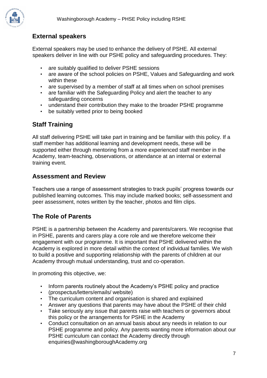

### **External speakers**

External speakers may be used to enhance the delivery of PSHE. All external speakers deliver in line with our PSHE policy and safeguarding procedures. They:

- are suitably qualified to deliver PSHE sessions
- are aware of the school policies on PSHE, Values and Safeguarding and work within these
- are supervised by a member of staff at all times when on school premises
- are familiar with the Safeguarding Policy and alert the teacher to any safeguarding concerns
- understand their contribution they make to the broader PSHE programme
- be suitably vetted prior to being booked

# **Staff Training**

All staff delivering PSHE will take part in training and be familiar with this policy. If a staff member has additional learning and development needs, these will be supported either through mentoring from a more experienced staff member in the Academy, team-teaching, observations, or attendance at an internal or external training event.

#### **Assessment and Review**

Teachers use a range of assessment strategies to track pupils' progress towards our published learning outcomes. This may include marked books; self-assessment and peer assessment, notes written by the teacher, photos and film clips.

#### **The Role of Parents**

PSHE is a partnership between the Academy and parents/carers. We recognise that in PSHE, parents and carers play a core role and we therefore welcome their engagement with our programme. It is important that PSHE delivered within the Academy is explored in more detail within the context of individual families. We wish to build a positive and supporting relationship with the parents of children at our Academy through mutual understanding, trust and co-operation.

In promoting this objective, we:

- Inform parents routinely about the Academy's PSHE policy and practice
- (prospectus/letters/emails/ website)
- The curriculum content and organisation is shared and explained
- Answer any questions that parents may have about the PSHE of their child
- Take seriously any issue that parents raise with teachers or governors about this policy or the arrangements for PSHE in the Academy
- Conduct consultation on an annual basis about any needs in relation to our PSHE programme and policy. Any parents wanting more information about our PSHE curriculum can contact the Academy directly through enquiries@washingboroughAcademy.org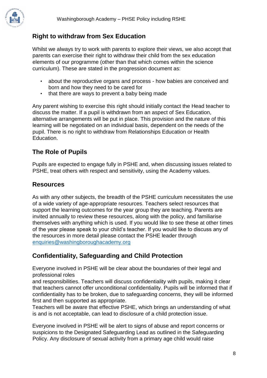

## **Right to withdraw from Sex Education**

Whilst we always try to work with parents to explore their views, we also accept that parents can exercise their right to withdraw their child from the sex education elements of our programme (other than that which comes within the science curriculum). These are stated in the progression document as:

- about the reproductive organs and process how babies are conceived and born and how they need to be cared for
- that there are ways to prevent a baby being made

Any parent wishing to exercise this right should initially contact the Head teacher to discuss the matter. If a pupil is withdrawn from an aspect of Sex Education, alternative arrangements will be put in place. This provision and the nature of this learning will be negotiated on an individual basis, dependent on the needs of the pupil. There is no right to withdraw from Relationships Education or Health Education.

### **The Role of Pupils**

Pupils are expected to engage fully in PSHE and, when discussing issues related to PSHE, treat others with respect and sensitivity, using the Academy values.

#### **Resources**

As with any other subjects, the breadth of the PSHE curriculum necessitates the use of a wide variety of age-appropriate resources. Teachers select resources that support the learning outcomes for the year group they are teaching. Parents are invited annually to review these resources, along with the policy, and familiarise themselves with anything which is used. If you would like to see these at other times of the year please speak to your child's teacher. If you would like to discuss any of the resources in more detail please contact the PSHE leader through [enquiries@washingboroughacademy.org](mailto:enquiries@washingboroughacademy.org)

### **Confidentiality, Safeguarding and Child Protection**

Everyone involved in PSHE will be clear about the boundaries of their legal and professional roles

and responsibilities. Teachers will discuss confidentiality with pupils, making it clear that teachers cannot offer unconditional confidentiality. Pupils will be informed that if confidentiality has to be broken, due to safeguarding concerns, they will be informed first and then supported as appropriate.

Teachers will be aware that effective PSHE, which brings an understanding of what is and is not acceptable, can lead to disclosure of a child protection issue.

Everyone involved in PSHE will be alert to signs of abuse and report concerns or suspicions to the Designated Safeguarding Lead as outlined in the Safeguarding Policy. Any disclosure of sexual activity from a primary age child would raise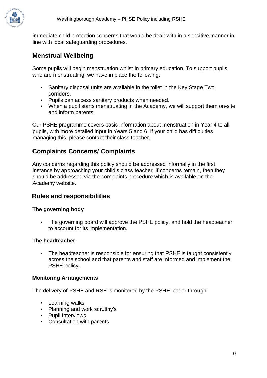immediate child protection concerns that would be dealt with in a sensitive manner in line with local safeguarding procedures.

#### **Menstrual Wellbeing**

Some pupils will begin menstruation whilst in primary education. To support pupils who are menstruating, we have in place the following:

- Sanitary disposal units are available in the toilet in the Key Stage Two corridors.
- Pupils can access sanitary products when needed.
- When a pupil starts menstruating in the Academy, we will support them on-site and inform parents.

Our PSHE programme covers basic information about menstruation in Year 4 to all pupils, with more detailed input in Years 5 and 6. If your child has difficulties managing this, please contact their class teacher.

### **Complaints Concerns/ Complaints**

Any concerns regarding this policy should be addressed informally in the first instance by approaching your child's class teacher. If concerns remain, then they should be addressed via the complaints procedure which is available on the Academy website.

#### **Roles and responsibilities**

#### **The governing body**

• The governing board will approve the PSHE policy, and hold the headteacher to account for its implementation.

#### **The headteacher**

• The headteacher is responsible for ensuring that PSHE is taught consistently across the school and that parents and staff are informed and implement the PSHE policy.

#### **Monitoring Arrangements**

The delivery of PSHE and RSE is monitored by the PSHE leader through:

- Learning walks
- Planning and work scrutiny's
- Pupil Interviews
- Consultation with parents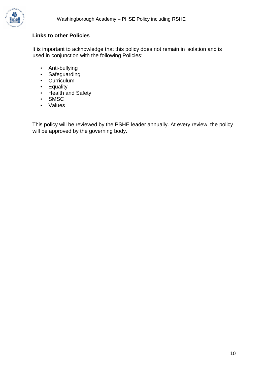

#### **Links to other Policies**

It is important to acknowledge that this policy does not remain in isolation and is used in conjunction with the following Policies:

- Anti-bullying
- Safeguarding
- Curriculum
- Equality
- Health and Safety
- SMSC
- Values

This policy will be reviewed by the PSHE leader annually. At every review, the policy will be approved by the governing body.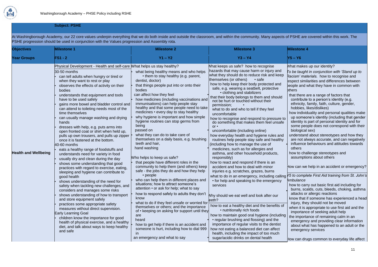

#### **Subject: PSHE**

At Washingborough Academy, our 22 core values underpin everything that we do both inside and outside the classroom, and within the community. Many aspects of PSHE are covered within this work. The PSHE progression should be used in conjunction with the Values progression and Assembly rota.

| <b>Objectives</b>           | <b>Milestone 1</b>                                                                                                                                                                                                                                                                                                                                                                                                                                                                                                                                                                                                                                                                                                                                                                                                                                                                                                                                                                                                                                                                                                                                                                                                                                                                                                                                                                      | <b>Milestone 2</b>                                                                                                                                                                                                                                                                                                                                                                                                                                                                                                                                                                                                                                                                                                                                                                                                                                                                                                                                                                                                                                                                                                                                                                                                                                                                  | <b>Milestone 3</b>                                                                                                                                                                                                                                                                                                                                                                                                                                                                                                                                                                                                                                                                                                                                                                                                                                                                                                                                                                                                                                                                                                                                                                                                                                                                                                                                                                                                                                                                              | <b>Milestone 4</b>                                                                                                                                                                                                                                                                                                                                                                                                                                                                                                                                   |
|-----------------------------|-----------------------------------------------------------------------------------------------------------------------------------------------------------------------------------------------------------------------------------------------------------------------------------------------------------------------------------------------------------------------------------------------------------------------------------------------------------------------------------------------------------------------------------------------------------------------------------------------------------------------------------------------------------------------------------------------------------------------------------------------------------------------------------------------------------------------------------------------------------------------------------------------------------------------------------------------------------------------------------------------------------------------------------------------------------------------------------------------------------------------------------------------------------------------------------------------------------------------------------------------------------------------------------------------------------------------------------------------------------------------------------------|-------------------------------------------------------------------------------------------------------------------------------------------------------------------------------------------------------------------------------------------------------------------------------------------------------------------------------------------------------------------------------------------------------------------------------------------------------------------------------------------------------------------------------------------------------------------------------------------------------------------------------------------------------------------------------------------------------------------------------------------------------------------------------------------------------------------------------------------------------------------------------------------------------------------------------------------------------------------------------------------------------------------------------------------------------------------------------------------------------------------------------------------------------------------------------------------------------------------------------------------------------------------------------------|-------------------------------------------------------------------------------------------------------------------------------------------------------------------------------------------------------------------------------------------------------------------------------------------------------------------------------------------------------------------------------------------------------------------------------------------------------------------------------------------------------------------------------------------------------------------------------------------------------------------------------------------------------------------------------------------------------------------------------------------------------------------------------------------------------------------------------------------------------------------------------------------------------------------------------------------------------------------------------------------------------------------------------------------------------------------------------------------------------------------------------------------------------------------------------------------------------------------------------------------------------------------------------------------------------------------------------------------------------------------------------------------------------------------------------------------------------------------------------------------------|------------------------------------------------------------------------------------------------------------------------------------------------------------------------------------------------------------------------------------------------------------------------------------------------------------------------------------------------------------------------------------------------------------------------------------------------------------------------------------------------------------------------------------------------------|
| <b>Year Groups</b>          | <b>FS1 - 2</b>                                                                                                                                                                                                                                                                                                                                                                                                                                                                                                                                                                                                                                                                                                                                                                                                                                                                                                                                                                                                                                                                                                                                                                                                                                                                                                                                                                          | $Y1 - Y2$                                                                                                                                                                                                                                                                                                                                                                                                                                                                                                                                                                                                                                                                                                                                                                                                                                                                                                                                                                                                                                                                                                                                                                                                                                                                           | $Y3 - Y4$                                                                                                                                                                                                                                                                                                                                                                                                                                                                                                                                                                                                                                                                                                                                                                                                                                                                                                                                                                                                                                                                                                                                                                                                                                                                                                                                                                                                                                                                                       | Y5 – Y6                                                                                                                                                                                                                                                                                                                                                                                                                                                                                                                                              |
| <b>Health and Wellbeing</b> | Physical Development - Health and self-care What helps us stay healthy?<br>30-50 months<br>can tell adults when hungry or tired or<br>when they want to rest or play<br>observes the effects of activity on their<br>bodies<br>understands that equipment and tools<br>have to be used safely<br>gains more bowel and bladder control and<br>can attend to toileting needs most of the<br>time themselves<br>can usually manage washing and drying<br>hands<br>dresses with help, e.g. puts arms into<br>open fronted coat or shirt when held up,<br>pulls up own trousers, and pulls up zipper<br>once it is fastened at the bottom.<br>40-60 months<br>eats a healthy range of foodstuffs and<br>understands need for variety in food<br>usually dry and clean during the day<br>shows some understanding that good<br>practices with regard to exercise, eating,<br>sleeping and hygiene can contribute to<br>good health<br>shows understanding of the need for<br>safety when tackling new challenges, and<br>considers and manages some risks<br>shows understanding of how to transport<br>and store equipment safely<br>practices some appropriate safety<br>measures without direct supervision.<br><b>Early Learning Goal</b><br>children know the importance for good<br>health of physical exercise, and a healthy<br>diet, and talk about ways to keep healthy<br>and safe | what being healthy means and who helps<br>• them to stay healthy (e.g. parent,<br>dentist, doctor)<br>that things people put into or onto their<br>bodies<br>can affect how they feel<br>how medicines (including vaccinations and<br>immunisations) can help people stay<br>healthy and that some people need to take<br>medicines • every day to stay healthy<br>why hygiene is important and how simple<br>hygiene routines can stop germs from<br>being<br>passed on<br>what they can do to take care of<br>themselves on a daily basis, e.g. brushing<br>teeth and hair,<br>hand washing<br>Who helps to keep us safe?<br>that people have different roles in the<br>community to help them (and others) keep<br>safe - the jobs they do and how they help<br>$\cdot$ people<br>who can help them in different places and<br>situations; how to attract someone's<br>attention • or ask for help; what to say<br>how to respond safely to adults they don't<br>know<br>what to do if they feel unsafe or worried for<br>themselves or others; and the importance<br>of • keeping on asking for support until they<br>are<br>heard<br>how to get help if there is an accident and<br>someone is hurt, including how to dial 999<br>$\mathsf{I}$<br>an emergency and what to say | What keeps us safe? how to recognise<br>hazards that may cause harm or injury and<br>what they should do to reduce risk and keep<br>themselves (or others)<br>• safe<br>how to help keep their body protected and<br>safe, e.g. wearing a seatbelt, protective<br>• clothing and stabilizers<br>that their body belongs to them and should<br>not be hurt or touched without their<br>permission;<br>what to do and who to tell if they feel<br>uncomfortable<br>how to recognise and respond to pressure to<br>do something that makes them feel unsafe<br>$or$ .<br>uncomfortable (including online)<br>how everyday health and hygiene rules and<br>routines help people stay safe and healthy<br>(including how to manage the use of<br>medicines, such as for allergies and<br>asthma, and other household products,<br>responsibly)<br>how to react and respond if there is an<br>accident and how to deal with minor<br>injuries e.g. scratches, grazes, burns<br>what to do in an emergency, including calling<br>• for help and speaking to the emergency<br>services<br>Why should we eat well and look after our<br>eeth?<br>how to eat a healthy diet and the benefits of<br>• nutritionally rich foods<br>how to maintain good oral hygiene (including<br>• regular brushing and flossing) and the<br>importance of regular visits to the dentist<br>how not eating a balanced diet can affect<br>health, including the impact of too much<br>sugar/acidic drinks on dental health | What makes<br>To be taught<br>Racism' mate<br>espect simila<br>beople and w<br>bthers<br>that there a<br>contribute<br>ethnicity, fa<br>hobbies, lil<br>how individe<br>up someor<br>identity is p<br>some peop<br>biological s<br>understand<br>are not alw<br>influence b<br>others<br>how to chall<br>assumption<br>How can we l<br>'5 to comple<br>Ambulance<br>how to carry<br>burns, scal<br>attacks or<br>know that if<br>injury, they<br>when it is ap<br>importance<br>the importal<br>emergency<br>about what<br>emergency<br>How can drug |

| <b>Milestone 4</b>                                                                                                                                                                                                                                                                                                                                                                                                                                                                                                                                                                                                                                                                                                                                                                                                                 |  |  |  |
|------------------------------------------------------------------------------------------------------------------------------------------------------------------------------------------------------------------------------------------------------------------------------------------------------------------------------------------------------------------------------------------------------------------------------------------------------------------------------------------------------------------------------------------------------------------------------------------------------------------------------------------------------------------------------------------------------------------------------------------------------------------------------------------------------------------------------------|--|--|--|
| $Y5 - Y6$                                                                                                                                                                                                                                                                                                                                                                                                                                                                                                                                                                                                                                                                                                                                                                                                                          |  |  |  |
| What makes up our identity?<br>To be taught in conjunction with 'Stand up to<br>Racism' materials. how to recognise and<br>espect similarities and differences between<br>beople and what they have in common with<br>bthers<br>that there are a range of factors that<br>contribute to a person's identity (e.g.<br>ethnicity, family, faith, culture, gender,<br>hobbies, likes/dislikes)<br>how individuality and personal qualities make<br>up someone's identity (including that gender<br>identity is part of personal identity and for<br>some people does not correspond with their<br>biological sex)<br>understand about stereotypes and how they<br>are not always accurate, and can negatively<br>influence behaviours and attitudes towards<br>others<br>how to challenge stereotypes and<br>assumptions about others |  |  |  |
| How can we help in an accident or emergency?                                                                                                                                                                                                                                                                                                                                                                                                                                                                                                                                                                                                                                                                                                                                                                                       |  |  |  |
| Y5 to complete First Aid training from St. John's<br>Ambulance<br>how to carry out basic first aid including for<br>burns, scalds, cuts, bleeds, choking, asthma<br>attacks or allergic reactions<br>know that if someone has experienced a head<br>injury, they should not be moved<br>when it is appropriate to use first aid and the<br>importance of seeking adult help<br>the importance of remaining calm in an<br>emergency and providing clear information<br>about what has happened to an adult or the<br>emergency services                                                                                                                                                                                                                                                                                             |  |  |  |
| How can drugs common to everyday life affect                                                                                                                                                                                                                                                                                                                                                                                                                                                                                                                                                                                                                                                                                                                                                                                       |  |  |  |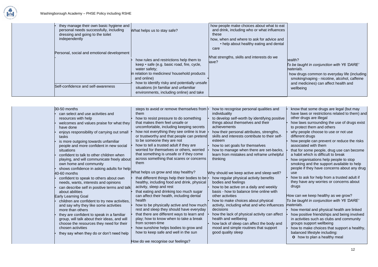

#### health? *To be taught in conjunction with Y6 'DARE' materials.*

how drugs common to everyday life (including smoking/vaping - nicotine, alcohol, caffeine and medicines) can affect health and

#### How can we keep healthy as we grow? *To be taught in conjunction with Y6 'DARE' materials.*

- how mental and physical health are linked
- how positive friendships and being involved in activities such as clubs and community groups support wellbeing
- how to make choices that support a healthy, balanced lifestyle including:
	- **o** how to plan a healthy meal

| 30-50 months<br>can select and use activities and<br>resources with help<br>welcomes and values praise for what they<br>have done<br>enjoys responsibility of carrying out small<br>tasks<br>is more outgoing towards unfamiliar<br>people and more confident in new social<br>situations<br>confident to talk to other children when<br>playing, and will communicate freely about<br>own home and community<br>shows confidence in asking adults for help                                                             | steps to avoid or remove themselves from  <br>them<br>how to resist pressure to do something<br>that makes them feel unsafe or<br>uncomfortable, including keeping secrets<br>how not everything they see online is true<br>or trustworthy and that people can pretend<br>to be someone they are not<br>how to tell a trusted adult if they are<br>worried for themselves or others, worried<br>that something is unsafe or if they come<br>across something that scares or concerns<br>them                                                            | how to recognise personal qualities and<br>individuality<br>to develop self-worth by identifying positive<br>things about themselves and their<br>achievements<br>how their personal attributes, strengths,<br>skills and interests contribute to their self-<br>esteem<br>how to set goals for themselves<br>how to manage when there are set-backs,<br>learn from mistakes and reframe unhelpful<br>thinking                                                                                            |
|-------------------------------------------------------------------------------------------------------------------------------------------------------------------------------------------------------------------------------------------------------------------------------------------------------------------------------------------------------------------------------------------------------------------------------------------------------------------------------------------------------------------------|---------------------------------------------------------------------------------------------------------------------------------------------------------------------------------------------------------------------------------------------------------------------------------------------------------------------------------------------------------------------------------------------------------------------------------------------------------------------------------------------------------------------------------------------------------|-----------------------------------------------------------------------------------------------------------------------------------------------------------------------------------------------------------------------------------------------------------------------------------------------------------------------------------------------------------------------------------------------------------------------------------------------------------------------------------------------------------|
| 40-60 months<br>confident to speak to others about own<br>needs, wants, interests and opinions<br>can describe self in positive terms and talk<br>about abilities<br><b>Early Learning Goal</b><br>children are confident to try new activities,<br>and say why they like some activities<br>more than others<br>they are confident to speak in a familiar<br>group, will talk about their ideas, and will<br>choose the resources they need for their<br>chosen activities<br>they say when they do or don't need help | What helps us grow and stay healthy?<br>that different things help their bodies to be<br>healthy, including food and drink, physical<br>activity, sleep and rest<br>that eating and drinking too much sugar<br>can affect their health, including dental<br>health<br>how to be physically active and how much<br>rest and sleep they should have everyday<br>that there are different ways to learn and<br>play; how to know when to take a break<br>from screen-time<br>how sunshine helps bodies to grow and<br>how to keep safe and well in the sun | Why should we keep active and sleep well?<br>how regular physical activity benefits<br>bodies and feelings<br>how to be active on a daily and weekly<br>basis - how to balance time online with<br>other activities<br>how to make choices about physical<br>activity, including what and who influences<br>decisions<br>how the lack of physical activity can affect<br>health and wellbeing<br>how lack of sleep can affect the body and<br>mood and simple routines that support<br>good quality sleep |
|                                                                                                                                                                                                                                                                                                                                                                                                                                                                                                                         | How do we recognise our feelings?                                                                                                                                                                                                                                                                                                                                                                                                                                                                                                                       |                                                                                                                                                                                                                                                                                                                                                                                                                                                                                                           |

- know that some drugs are legal (but may have laws or restrictions related to them) and other drugs are illegal
- how laws surrounding the use of drugs exist to protect them and others
- why people choose to use or not use different drugs
- how people can prevent or reduce the risks associated with them
- that for some people, drug use can become a habit which is difficult to break
- how organisations help people to stop smoking and the support available to help people if they have concerns about any drug use
- how to ask for help from a trusted adult if they have any worries or concerns about drugs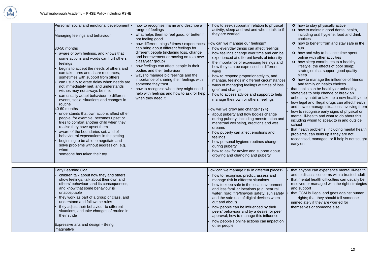

- **o** how to stay physically active
- **o** how to maintain good dental health, including oral hygiene, food and drink choices
- **o** how to benefit from and stay safe in the sun
- **o** how and why to balance time spent online with other activities
- **o** how sleep contributes to a healthy lifestyle; the effects of poor sleep; strategies that support good quality sleep
- **o** how to manage the influence of friends and family on health choices
- that habits can be healthy or unhealthy; strategies to help change or break an unhealthy habit or take up a new healthy one
- how legal and illegal drugs can affect health and how to manage situations involving them
- how to recognise early signs of physical or mental ill-health and what to do about this, including whom to speak to in and outside school
- that health problems, including mental health problems, can build up if they are not recognised, managed, or if help is not sought early on
- that anyone can experience mental ill-health and to discuss concerns with a trusted adult
- that mental health difficulties can usually be resolved or managed with the right strategies and support
- that FGM is illegal and goes against human rights; that they should tell someone immediately if they are worried for themselves or someone else

| Personal, social and emotional development  •<br>Managing feelings and behaviour<br>30-50 months<br>aware of own feelings, and knows that<br>some actions and words can hurt others'<br>feelings<br>begins to accept the needs of others and<br>can take turns and share resources,<br>sometimes with support from others<br>can usually tolerate delay when needs are<br>not immediately met, and understands<br>wishes may not always be met<br>can usually adapt behaviour to different<br>events, social situations and changes in<br>routine<br>40-60 months<br>understands that own actions affect other<br>people, for example, becomes upset or<br>tries to comfort another child when they<br>realise they have upset them<br>aware of the boundaries set, and of<br>behavioural expectations in the setting<br>beginning to be able to negotiate and<br>solve problems without aggression, e.g.<br>when<br>someone has taken their toy | how to recognise, name and describe a<br>range of feelings<br>what helps them to feel good, or better if<br>not feeling good<br>how different things / times / experiences<br>can bring about different feelings for<br>different people (including loss, change<br>and bereavement or moving on to a new<br>class/year group)<br>how feelings can affect people in their<br>bodies and their behaviour<br>ways to manage big feelings and the<br>importance of sharing their feelings with<br>someone they trust<br>how to recognise when they might need<br>help with feelings and how to ask for help<br>when they need it | how to seek support in relation to physical<br>activity, sleep and rest and who to talk to if<br>they are worried<br>How can we manage our feelings?<br>how everyday things can affect feelings<br>how feelings change over time and can be<br>experienced at different levels of intensity<br>the importance of expressing feelings and<br>how they can be expressed in different<br>ways<br>how to respond proportionately to, and<br>manage, feelings in different circumstances<br>ways of managing feelings at times of loss,<br>grief and change<br>how to access advice and support to help<br>manage their own or others' feelings<br>How will we grow and change? (Y4)<br>about puberty and how bodies change<br>during puberty, including menstruation and<br>menstrual wellbeing, erections and wet<br>dreams<br>how puberty can affect emotions and<br>feelings<br>how personal hygiene routines change<br>during puberty<br>how to ask for advice and support about<br>growing and changing and puberty |
|--------------------------------------------------------------------------------------------------------------------------------------------------------------------------------------------------------------------------------------------------------------------------------------------------------------------------------------------------------------------------------------------------------------------------------------------------------------------------------------------------------------------------------------------------------------------------------------------------------------------------------------------------------------------------------------------------------------------------------------------------------------------------------------------------------------------------------------------------------------------------------------------------------------------------------------------------|-------------------------------------------------------------------------------------------------------------------------------------------------------------------------------------------------------------------------------------------------------------------------------------------------------------------------------------------------------------------------------------------------------------------------------------------------------------------------------------------------------------------------------------------------------------------------------------------------------------------------------|----------------------------------------------------------------------------------------------------------------------------------------------------------------------------------------------------------------------------------------------------------------------------------------------------------------------------------------------------------------------------------------------------------------------------------------------------------------------------------------------------------------------------------------------------------------------------------------------------------------------------------------------------------------------------------------------------------------------------------------------------------------------------------------------------------------------------------------------------------------------------------------------------------------------------------------------------------------------------------------------------------------------|
| <b>Early Learning Goal</b><br>children talk about how they and others<br>show feelings, talk about their own and<br>others' behaviour, and its consequences,<br>and know that some behaviour is<br>unacceptable<br>they work as part of a group or class, and<br>understand and follow the rules<br>they adjust their behaviour to different<br>situations, and take changes of routine in<br>their stride<br>Expressive arts and design - Being<br>imaginative                                                                                                                                                                                                                                                                                                                                                                                                                                                                                  |                                                                                                                                                                                                                                                                                                                                                                                                                                                                                                                                                                                                                               | How can we manage risk in different places?<br>how to recognise, predict, assess and<br>manage risk in different situations<br>how to keep safe in the local environment<br>and less familiar locations (e.g. near rail,<br>water, road; fire/firework safety; sun safety<br>and the safe use of digital devices when<br>out and about)<br>how people can be influenced by their<br>peers' behaviour and by a desire for peer<br>approval; how to manage this influence<br>how people's online actions can impact on<br>other people                                                                                                                                                                                                                                                                                                                                                                                                                                                                                 |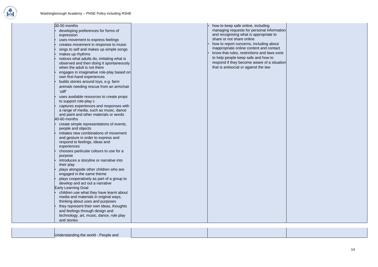

| 30-50 months                                                                                                                   | how to keep safe online, including                                                       |
|--------------------------------------------------------------------------------------------------------------------------------|------------------------------------------------------------------------------------------|
| developing preferences for forms of<br>expression                                                                              | managing requests for personal information<br>and recognising what is appropriate to     |
| uses movement to express feelings                                                                                              | share or not share online                                                                |
| creates movement in response to music                                                                                          | how to report concerns, including about                                                  |
| sings to self and makes up simple songs                                                                                        | inappropriate online content and contact<br>know that rules, restrictions and laws exist |
| makes up rhythms                                                                                                               | to help people keep safe and how to                                                      |
| notices what adults do, imitating what is<br>observed and then doing it spontaneously<br>when the adult is not there           | respond if they become aware of a situation<br>that is antisocial or against the law     |
| engages in imaginative role-play based on<br>own first-hand experiences                                                        |                                                                                          |
| builds stories around toys, e.g. farm                                                                                          |                                                                                          |
| animals needing rescue from an armchair<br>'cliff'                                                                             |                                                                                          |
| uses available resources to create props<br>to support role-play c                                                             |                                                                                          |
| captures experiences and responses with<br>a range of media, such as music, dance                                              |                                                                                          |
| and paint and other materials or words                                                                                         |                                                                                          |
| 40-60 months                                                                                                                   |                                                                                          |
| create simple representations of events,<br>people and objects                                                                 |                                                                                          |
| initiates new combinations of movement<br>and gesture in order to express and<br>respond to feelings, ideas and<br>experiences |                                                                                          |
| chooses particular colours to use for a                                                                                        |                                                                                          |
| purpose                                                                                                                        |                                                                                          |
| introduces a storyline or narrative into<br>their play                                                                         |                                                                                          |
| plays alongside other children who are<br>engaged in the same theme                                                            |                                                                                          |
| plays cooperatively as part of a group to<br>develop and act out a narrative                                                   |                                                                                          |
| <b>Early Learning Goal</b>                                                                                                     |                                                                                          |
| children use what they have learnt about<br>media and materials in original ways,<br>thinking about uses and purposes          |                                                                                          |
| they represent their own ideas, thoughts                                                                                       |                                                                                          |
| and feelings through design and                                                                                                |                                                                                          |
| technology, art, music, dance, role play                                                                                       |                                                                                          |
| and stories                                                                                                                    |                                                                                          |
|                                                                                                                                |                                                                                          |

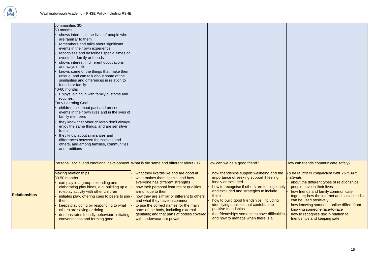

|                      | communities 30-<br>50 months<br>shows interest in the lives of people who<br>are familiar to them<br>remembers and talks about significant<br>events in their own experience<br>recognises and describes special times or<br>events for family or friends<br>shows interest in different occupations<br>and ways of life<br>knows some of the things that make them<br>unique, and can talk about some of the<br>similarities and differences in relation to<br>friends or family.<br>40-60 months<br>Enjoys joining in with family customs and<br>routines.<br><b>Early Learning Goal</b><br>children talk about past and present<br>events in their own lives and in the lives of<br>family members<br>they know that other children don't always<br>enjoy the same things, and are sensitive<br>to this<br>they know about similarities and<br>differences between themselves and<br>others, and among families, communities<br>and traditions |                                                                                                                                                                                                                                                                                                                                                                                                                               |                                                                                                                                                                                                                                                                                                                                                                                                                                                      |
|----------------------|---------------------------------------------------------------------------------------------------------------------------------------------------------------------------------------------------------------------------------------------------------------------------------------------------------------------------------------------------------------------------------------------------------------------------------------------------------------------------------------------------------------------------------------------------------------------------------------------------------------------------------------------------------------------------------------------------------------------------------------------------------------------------------------------------------------------------------------------------------------------------------------------------------------------------------------------------|-------------------------------------------------------------------------------------------------------------------------------------------------------------------------------------------------------------------------------------------------------------------------------------------------------------------------------------------------------------------------------------------------------------------------------|------------------------------------------------------------------------------------------------------------------------------------------------------------------------------------------------------------------------------------------------------------------------------------------------------------------------------------------------------------------------------------------------------------------------------------------------------|
| <b>Relationships</b> | Personal, social and emotional development What is the same and different about us?<br><b>Making relationships</b><br>30-50 months<br>can play in a group, extending and<br>elaborating play ideas, e.g. building up a<br>roleplay activity with other children<br>initiates play, offering cues to peers to join  •<br>them.<br>keeps play going by responding to what<br>others are saying or doing<br>demonstrates friendly behaviour, initiating<br>conversations and forming good                                                                                                                                                                                                                                                                                                                                                                                                                                                            | what they like/dislike and are good at<br>what makes them special and how<br>everyone has different strengths<br>how their personal features or qualities<br>are unique to them<br>how they are similar or different to others<br>and what they have in common<br>to use the correct names for the main<br>parts of the body, including external<br>genitalia; and that parts of bodies covered<br>with underwear are private | How can we be a good friend?<br>how friendships support wellbeing and the<br>importance of seeking support if feeling<br>lonely or excluded<br>how to recognise if others are feeling lonely<br>and excluded and strategies to include<br>them<br>how to build good friendships, including<br>identifying qualities that contribute to<br>positive friendships<br>that friendships sometimes have difficulties,<br>and how to manage when there is a |

How can friends communicate safely?

- about the different types of relationships people have in their lives
- how friends and family communicate together; how the internet and social media can be used positively
- how knowing someone online differs from knowing someone face-to-face
- ies, now to recognise risk in relation to friendships and keeping safe

*To be taught in conjunction with Y6 'DARE' materials.*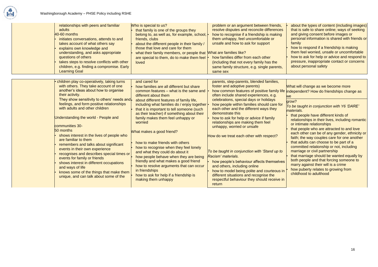

- about the types of content (including images) that is safe to share online; ways of seeking and giving consent before images or personal information is shared with friends or family
- **how to respond if a friendship is making** them feel worried, unsafe or uncomfortable
- how to ask for help or advice and respond to pressure, inappropriate contact or concerns about personal safety

#### What will change as we become more independent? How do friendships change as **we**

- that people have different kinds of relationships in their lives, including romantic or intimate relationships
- that people who are attracted to and love each other can be of any gender, ethnicity or faith; the way couples care for one another
- that adults can choose to be part of a committed relationship or not, including marriage or civil partnership
- that marriage should be wanted equally by both people and that forcing someone to marry against their will is a crime
- how puberty relates to growing from childhood to adulthood

| relationships with peers and familiar<br>adults<br>40-60 months<br>initiates conversations, attends to and<br>takes account of what others say<br>explains own knowledge and<br>understanding, and asks appropriate<br>questions of others<br>takes steps to resolve conflicts with other<br>children, e.g. finding a compromise. Early<br><b>Learning Goal</b> | Who is special to us?<br>that family is one of the groups they<br>belong to, as well as, for example, school,<br>friends, clubs<br>about the different people in their family /<br>those that love and care for them<br>what their family members, or people that Mhat are families like?<br>are special to them, do to make them feel<br>loved | problem or an argument between friends,<br>resolve disputes and reconcile differences<br>how to recognise if a friendship is making<br>them unhappy, feel uncomfortable or<br>unsafe and how to ask for support<br>how families differ from each other<br>(including that not every family has the<br>same family structure, e.g. single parents,<br>same sex |
|-----------------------------------------------------------------------------------------------------------------------------------------------------------------------------------------------------------------------------------------------------------------------------------------------------------------------------------------------------------------|-------------------------------------------------------------------------------------------------------------------------------------------------------------------------------------------------------------------------------------------------------------------------------------------------------------------------------------------------|---------------------------------------------------------------------------------------------------------------------------------------------------------------------------------------------------------------------------------------------------------------------------------------------------------------------------------------------------------------|
| children play co-operatively, taking turns                                                                                                                                                                                                                                                                                                                      | and cared for                                                                                                                                                                                                                                                                                                                                   | parents, step-parents, blended families,                                                                                                                                                                                                                                                                                                                      |
| with others. They take account of one                                                                                                                                                                                                                                                                                                                           | how families are all different but share                                                                                                                                                                                                                                                                                                        | foster and adoptive parents)                                                                                                                                                                                                                                                                                                                                  |
| another's ideas about how to organise                                                                                                                                                                                                                                                                                                                           | common features – what is the same and                                                                                                                                                                                                                                                                                                          | how common features of positive family life                                                                                                                                                                                                                                                                                                                   |
| their activity.                                                                                                                                                                                                                                                                                                                                                 | different about them                                                                                                                                                                                                                                                                                                                            | often include shared experiences, e.g.                                                                                                                                                                                                                                                                                                                        |
| They show sensitivity to others' needs and.                                                                                                                                                                                                                                                                                                                     | about different features of family life,                                                                                                                                                                                                                                                                                                        | celebrations, special days or holidays                                                                                                                                                                                                                                                                                                                        |
| feelings, and form positive relationships                                                                                                                                                                                                                                                                                                                       | including what families do / enjoy together  •                                                                                                                                                                                                                                                                                                  | how people within families should care for                                                                                                                                                                                                                                                                                                                    |
| with adults and other children                                                                                                                                                                                                                                                                                                                                  | that it is important to tell someone (such                                                                                                                                                                                                                                                                                                      | each other and the different ways they                                                                                                                                                                                                                                                                                                                        |
| Understanding the world - People and                                                                                                                                                                                                                                                                                                                            | as their teacher) if something about their                                                                                                                                                                                                                                                                                                      | demonstrate this                                                                                                                                                                                                                                                                                                                                              |
| communities 30-                                                                                                                                                                                                                                                                                                                                                 | family makes them feel unhappy or                                                                                                                                                                                                                                                                                                               | how to ask for help or advice if family                                                                                                                                                                                                                                                                                                                       |
| 50 months                                                                                                                                                                                                                                                                                                                                                       | worried                                                                                                                                                                                                                                                                                                                                         | relationships are making them feel                                                                                                                                                                                                                                                                                                                            |
| shows interest in the lives of people who                                                                                                                                                                                                                                                                                                                       | What makes a good friend?                                                                                                                                                                                                                                                                                                                       | unhappy, worried or unsafe                                                                                                                                                                                                                                                                                                                                    |
| are familiar to them                                                                                                                                                                                                                                                                                                                                            | how to make friends with others                                                                                                                                                                                                                                                                                                                 | How do we treat each other with respect?                                                                                                                                                                                                                                                                                                                      |
| remembers and talks about significant                                                                                                                                                                                                                                                                                                                           | how to recognise when they feel lonely                                                                                                                                                                                                                                                                                                          | To be taught in conjunction with 'Stand up to                                                                                                                                                                                                                                                                                                                 |
| events in their own experience                                                                                                                                                                                                                                                                                                                                  | and what they could do about it                                                                                                                                                                                                                                                                                                                 | Racism' materials.                                                                                                                                                                                                                                                                                                                                            |
| recognises and describes special times or                                                                                                                                                                                                                                                                                                                       | how people behave when they are being                                                                                                                                                                                                                                                                                                           | how people's behaviour affects themselves                                                                                                                                                                                                                                                                                                                     |
| events for family or friends                                                                                                                                                                                                                                                                                                                                    | friendly and what makes a good friend                                                                                                                                                                                                                                                                                                           | and others, including online                                                                                                                                                                                                                                                                                                                                  |
| shows interest in different occupations                                                                                                                                                                                                                                                                                                                         | how to resolve arguments that can occur                                                                                                                                                                                                                                                                                                         | how to model being polite and courteous in                                                                                                                                                                                                                                                                                                                    |
| and ways of life                                                                                                                                                                                                                                                                                                                                                | in friendships                                                                                                                                                                                                                                                                                                                                  | different situations and recognise the                                                                                                                                                                                                                                                                                                                        |
| knows some of the things that make them                                                                                                                                                                                                                                                                                                                         | how to ask for help if a friendship is                                                                                                                                                                                                                                                                                                          | respectful behaviour they should receive in                                                                                                                                                                                                                                                                                                                   |
| unique, and can talk about some of the                                                                                                                                                                                                                                                                                                                          | making them unhappy                                                                                                                                                                                                                                                                                                                             | return                                                                                                                                                                                                                                                                                                                                                        |

#### grow?

*To be taught in conjunction with Y6 'DARE' materials.*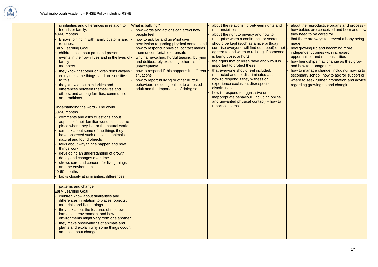

- about the reproductive organs and process how babies are conceived and born and how they need to be cared for
- that there are ways to prevent a baby being made
- how growing up and becoming more independent comes with increased opportunities and responsibilities
- how friendships may change as they grow and how to manage this
- $\cdot$  how to manage change, including moving to secondary school; how to ask for support or where to seek further information and advice regarding growing up and changing

| similarities and differences in relation to<br>friends or family.<br>40-60 months<br>Enjoys joining in with family customs and<br>routines.<br><b>Early Learning Goal</b><br>children talk about past and present<br>events in their own lives and in the lives of $\cdot$<br>family<br>members<br>they know that other children don't always  <br>enjoy the same things, and are sensitive<br>to this<br>they know about similarities and<br>differences between themselves and<br>others, and among families, communities<br>and traditions.<br>Understanding the word - The world<br>30-50 months<br>comments and asks questions about<br>aspects of their familiar world such as the<br>place where they live or the natural world<br>can talk about some of the things they<br>have observed such as plants, animals,<br>natural and found objects<br>talks about why things happen and how<br>things work<br>developing an understanding of growth,<br>decay and changes over time<br>shows care and concern for living things<br>and the environment<br>$40-60$ months<br>looks closely at similarities, differences, | What is bullying?<br>how words and actions can affect how<br>people feel<br>how to ask for and give/not give<br>permission regarding physical contact and<br>how to respond if physical contact makes<br>them uncomfortable or unsafe<br>why name-calling, hurtful teasing, bullying<br>and deliberately excluding others is<br>unacceptable<br>how to respond if this happens in different<br>situations<br>how to report bullying or other hurtful<br>behaviour, including online, to a trusted<br>adult and the importance of doing so | about the relationship between rights and<br>responsibilities<br>about the right to privacy and how to<br>recognise when a confidence or secret<br>should be kept (such as a nice birthday<br>surprise everyone will find out about) or not<br>agreed to and when to tell (e.g. if someone<br>is being upset or hurt)<br>the rights that children have and why it is<br>important to protect these<br>that everyone should feel included,<br>respected and not discriminated against;<br>how to respond if they witness or<br>experience exclusion, disrespect or<br>discrimination<br>how to respond to aggressive or<br>inappropriate behaviour (including online<br>and unwanted physical contact) – how to<br>report concerns |
|------------------------------------------------------------------------------------------------------------------------------------------------------------------------------------------------------------------------------------------------------------------------------------------------------------------------------------------------------------------------------------------------------------------------------------------------------------------------------------------------------------------------------------------------------------------------------------------------------------------------------------------------------------------------------------------------------------------------------------------------------------------------------------------------------------------------------------------------------------------------------------------------------------------------------------------------------------------------------------------------------------------------------------------------------------------------------------------------------------------------------|-------------------------------------------------------------------------------------------------------------------------------------------------------------------------------------------------------------------------------------------------------------------------------------------------------------------------------------------------------------------------------------------------------------------------------------------------------------------------------------------------------------------------------------------|-----------------------------------------------------------------------------------------------------------------------------------------------------------------------------------------------------------------------------------------------------------------------------------------------------------------------------------------------------------------------------------------------------------------------------------------------------------------------------------------------------------------------------------------------------------------------------------------------------------------------------------------------------------------------------------------------------------------------------------|
| patterns and change<br><b>Early Learning Goal</b><br>children know about similarities and<br>differences in relation to places, objects,<br>materials and living things<br>they talk about the features of their own<br>immediate environment and how<br>environments might vary from one another<br>they make observations of animals and<br>plants and explain why some things occur,<br>and talk about changes                                                                                                                                                                                                                                                                                                                                                                                                                                                                                                                                                                                                                                                                                                            |                                                                                                                                                                                                                                                                                                                                                                                                                                                                                                                                           |                                                                                                                                                                                                                                                                                                                                                                                                                                                                                                                                                                                                                                                                                                                                   |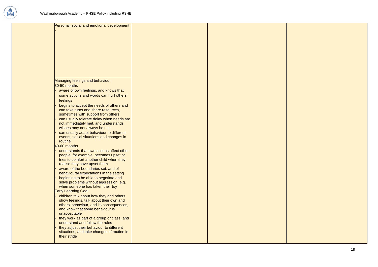



| Personal, social and emotional development |  |
|--------------------------------------------|--|
|                                            |  |
|                                            |  |
|                                            |  |
|                                            |  |
|                                            |  |
|                                            |  |
|                                            |  |
|                                            |  |
|                                            |  |
|                                            |  |
|                                            |  |
| <b>Managing feelings and behaviour</b>     |  |
| 30-50 months                               |  |
|                                            |  |
| aware of own feelings, and knows that      |  |
| some actions and words can hurt others'    |  |
| feelings                                   |  |
| begins to accept the needs of others and   |  |
| can take turns and share resources,        |  |
| sometimes with support from others         |  |
| can usually tolerate delay when needs are  |  |
| not immediately met, and understands       |  |
| wishes may not always be met               |  |
| can usually adapt behaviour to different   |  |
| events, social situations and changes in   |  |
| routine                                    |  |
| $40-60$ months                             |  |
| understands that own actions affect other  |  |
| people, for example, becomes upset or      |  |
| tries to comfort another child when they   |  |
| realise they have upset them               |  |
| aware of the boundaries set, and of        |  |
| behavioural expectations in the setting    |  |
| beginning to be able to negotiate and      |  |
| solve problems without aggression, e.g.    |  |
| when someone has taken their toy           |  |
| <b>Early Learning Goal</b>                 |  |
| children talk about how they and others    |  |
| show feelings, talk about their own and    |  |
| others' behaviour, and its consequences,   |  |
| and know that some behaviour is            |  |
| unacceptable                               |  |
| they work as part of a group or class, and |  |
| understand and follow the rules            |  |
| they adjust their behaviour to different   |  |
| situations, and take changes of routine in |  |
| their stride                               |  |
|                                            |  |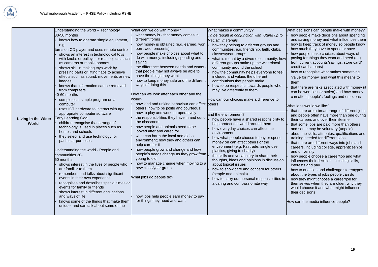

• how people make choices about ways of paying for things they want and need (e.g. from current accounts/savings; store card/ credit cards; loans) • how to recognise what makes something 'value for money' and what this means to them that there are risks associated with money (it can be won, lost or stolen) and how money can affect people's feelings and emotions What jobs would we like? that there are a broad range of different jobs and people often have more than one during their careers and over their lifetime that some jobs are paid more than others and some may be voluntary (unpaid) • about the skills, attributes, qualifications and training needed for different jobs • that there are different ways into jobs and careers, including college, apprenticeships and university • how people choose a career/job and what influences their decision, including skills, interests and pay • how to question and challenge stereotypes about the types of jobs people can do • how they might choose a career/job for themselves when they are older, why they would choose it and what might influence their decisions How can the media influence people?

What decisions can people make with money?

• how people make decisions about spending and saving money and what influences them • how to keep track of money so people know

how much they have to spend or save